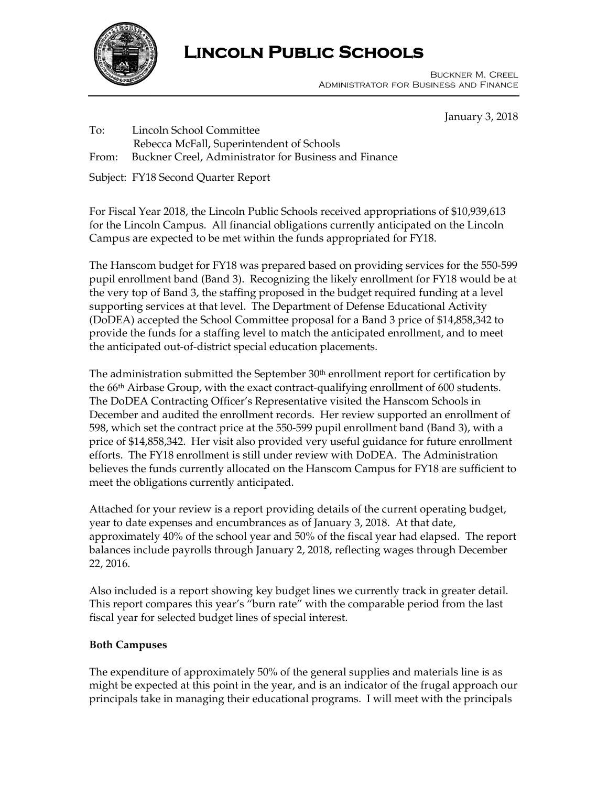

# **Lincoln Public Schools**

 Buckner M. Creel Administrator for Business and Finance

January 3, 2018

To: Lincoln School Committee Rebecca McFall, Superintendent of Schools

From: Buckner Creel, Administrator for Business and Finance

Subject: FY18 Second Quarter Report

For Fiscal Year 2018, the Lincoln Public Schools received appropriations of \$10,939,613 for the Lincoln Campus. All financial obligations currently anticipated on the Lincoln Campus are expected to be met within the funds appropriated for FY18.

The Hanscom budget for FY18 was prepared based on providing services for the 550-599 pupil enrollment band (Band 3). Recognizing the likely enrollment for FY18 would be at the very top of Band 3, the staffing proposed in the budget required funding at a level supporting services at that level. The Department of Defense Educational Activity (DoDEA) accepted the School Committee proposal for a Band 3 price of \$14,858,342 to provide the funds for a staffing level to match the anticipated enrollment, and to meet the anticipated out-of-district special education placements.

The administration submitted the September  $30<sup>th</sup>$  enrollment report for certification by the 66th Airbase Group, with the exact contract-qualifying enrollment of 600 students. The DoDEA Contracting Officer's Representative visited the Hanscom Schools in December and audited the enrollment records. Her review supported an enrollment of 598, which set the contract price at the 550-599 pupil enrollment band (Band 3), with a price of \$14,858,342. Her visit also provided very useful guidance for future enrollment efforts. The FY18 enrollment is still under review with DoDEA. The Administration believes the funds currently allocated on the Hanscom Campus for FY18 are sufficient to meet the obligations currently anticipated.

Attached for your review is a report providing details of the current operating budget, year to date expenses and encumbrances as of January 3, 2018. At that date, approximately 40% of the school year and 50% of the fiscal year had elapsed. The report balances include payrolls through January 2, 2018, reflecting wages through December 22, 2016.

Also included is a report showing key budget lines we currently track in greater detail. This report compares this year's "burn rate" with the comparable period from the last fiscal year for selected budget lines of special interest.

## **Both Campuses**

The expenditure of approximately 50% of the general supplies and materials line is as might be expected at this point in the year, and is an indicator of the frugal approach our principals take in managing their educational programs. I will meet with the principals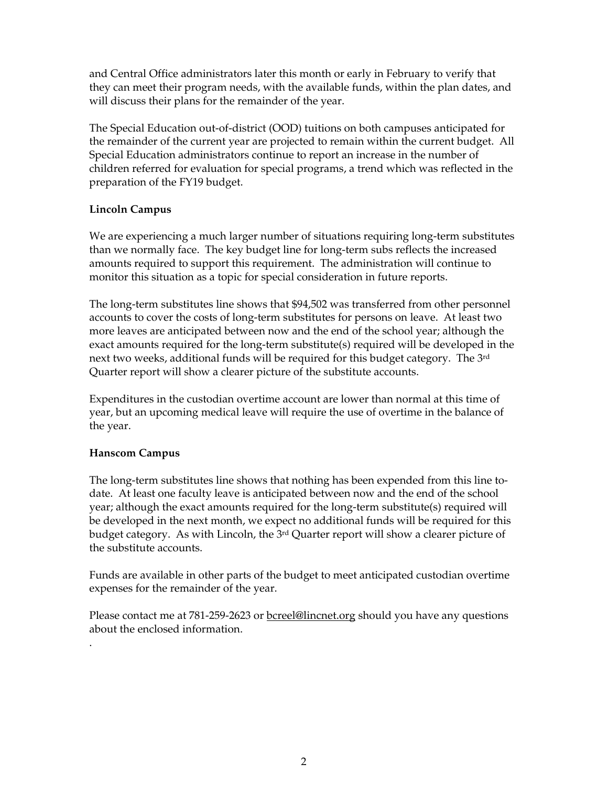and Central Office administrators later this month or early in February to verify that they can meet their program needs, with the available funds, within the plan dates, and will discuss their plans for the remainder of the year.

The Special Education out-of-district (OOD) tuitions on both campuses anticipated for the remainder of the current year are projected to remain within the current budget. All Special Education administrators continue to report an increase in the number of children referred for evaluation for special programs, a trend which was reflected in the preparation of the FY19 budget.

### **Lincoln Campus**

We are experiencing a much larger number of situations requiring long-term substitutes than we normally face. The key budget line for long-term subs reflects the increased amounts required to support this requirement. The administration will continue to monitor this situation as a topic for special consideration in future reports.

The long-term substitutes line shows that \$94,502 was transferred from other personnel accounts to cover the costs of long-term substitutes for persons on leave. At least two more leaves are anticipated between now and the end of the school year; although the exact amounts required for the long-term substitute(s) required will be developed in the next two weeks, additional funds will be required for this budget category. The 3rd Quarter report will show a clearer picture of the substitute accounts.

Expenditures in the custodian overtime account are lower than normal at this time of year, but an upcoming medical leave will require the use of overtime in the balance of the year.

## **Hanscom Campus**

.

The long-term substitutes line shows that nothing has been expended from this line todate. At least one faculty leave is anticipated between now and the end of the school year; although the exact amounts required for the long-term substitute(s) required will be developed in the next month, we expect no additional funds will be required for this budget category. As with Lincoln, the 3<sup>rd</sup> Quarter report will show a clearer picture of the substitute accounts.

Funds are available in other parts of the budget to meet anticipated custodian overtime expenses for the remainder of the year.

Please contact me at 781-259-2623 or **bcreel@lincnet.org** should you have any questions about the enclosed information.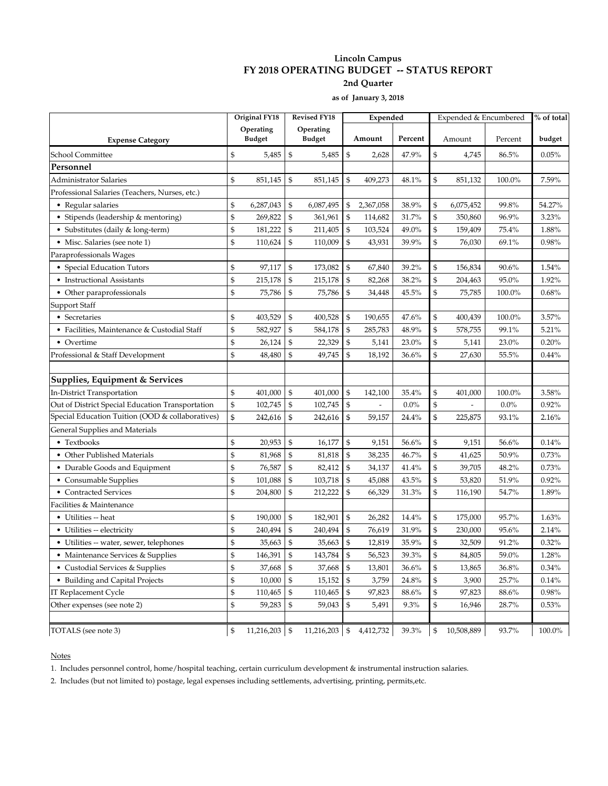#### **Lincoln Campus FY 2018 OPERATING BUDGET -- STATUS REPORT 2nd Quarter**

**as of January 3, 2018**

| <b>Expense Category</b>                          |              | Original FY18<br>Operating<br><b>Budget</b> |                | <b>Revised FY18</b><br>Operating<br><b>Budget</b> |                | Expended  |          |        | Expended & Encumbered | % of total |        |
|--------------------------------------------------|--------------|---------------------------------------------|----------------|---------------------------------------------------|----------------|-----------|----------|--------|-----------------------|------------|--------|
|                                                  |              |                                             |                |                                                   |                | Amount    | Percent  | Amount |                       | Percent    | budget |
| School Committee                                 | \$           | 5,485                                       | $\mathbb{S}$   | 5,485                                             | \$             | 2,628     | 47.9%    | \$     | 4,745                 | 86.5%      | 0.05%  |
| Personnel                                        |              |                                             |                |                                                   |                |           |          |        |                       |            |        |
| Administrator Salaries                           | \$           | 851,145                                     | \$             | 851,145                                           | \$             | 409,273   | 48.1%    | \$     | 851,132               | 100.0%     | 7.59%  |
| Professional Salaries (Teachers, Nurses, etc.)   |              |                                             |                |                                                   |                |           |          |        |                       |            |        |
| • Regular salaries                               | \$           | 6,287,043                                   | \$             | 6,087,495                                         | \$             | 2,367,058 | 38.9%    | \$     | 6,075,452             | 99.8%      | 54.27% |
| • Stipends (leadership & mentoring)              | \$           | 269,822                                     | $\mathfrak{S}$ | 361,961                                           | \$             | 114,682   | 31.7%    | \$     | 350,860               | 96.9%      | 3.23%  |
| • Substitutes (daily & long-term)                | \$           | 181,222                                     | \$             | 211,405                                           | $\mathfrak{S}$ | 103,524   | 49.0%    | \$     | 159,409               | 75.4%      | 1.88%  |
| • Misc. Salaries (see note 1)                    | \$           | 110,624                                     | $\mathcal{S}$  | 110,009                                           | $\mathfrak{S}$ | 43,931    | 39.9%    | \$     | 76,030                | 69.1%      | 0.98%  |
| Paraprofessionals Wages                          |              |                                             |                |                                                   |                |           |          |        |                       |            |        |
| • Special Education Tutors                       | \$           | 97,117                                      | \$             | 173,082                                           | $\mathcal{S}$  | 67,840    | 39.2%    | \$     | 156,834               | 90.6%      | 1.54%  |
| • Instructional Assistants                       | \$           | 215,178                                     | $\mathcal{S}$  | 215,178                                           | $\mathcal{S}$  | 82,268    | 38.2%    | \$     | 204,463               | 95.0%      | 1.92%  |
| • Other paraprofessionals                        | \$           | 75,786                                      | \$             | 75,786                                            | $\mathcal{S}$  | 34,448    | 45.5%    | \$     | 75,785                | 100.0%     | 0.68%  |
| Support Staff                                    |              |                                             |                |                                                   |                |           |          |        |                       |            |        |
| • Secretaries                                    | \$           | 403,529                                     | \$             | 400,528                                           | \$             | 190,655   | 47.6%    | \$     | 400,439               | 100.0%     | 3.57%  |
| • Facilities, Maintenance & Custodial Staff      | \$           | 582,927                                     | \$             | 584,178                                           | \$             | 285,783   | 48.9%    | \$     | 578,755               | 99.1%      | 5.21%  |
| • Overtime                                       | \$           | 26,124                                      | \$             | 22,329                                            | \$             | 5,141     | 23.0%    | \$     | 5,141                 | 23.0%      | 0.20%  |
| Professional & Staff Development                 | \$           | 48,480                                      | $\mathcal{S}$  | 49,745                                            | $\mathfrak{S}$ | 18,192    | 36.6%    | \$     | 27,630                | 55.5%      | 0.44%  |
| Supplies, Equipment & Services                   |              |                                             |                |                                                   |                |           |          |        |                       |            |        |
| In-District Transportation                       | \$           | 401,000                                     | \$             | 401,000                                           | \$             | 142,100   | 35.4%    | \$     | 401,000               | 100.0%     | 3.58%  |
| Out of District Special Education Transportation | \$           | 102,745                                     | $\mathcal{S}$  | 102,745                                           | $\mathcal{S}$  |           | $0.0\%$  | \$     |                       | $0.0\%$    | 0.92%  |
| Special Education Tuition (OOD & collaboratives) | \$           | 242,616                                     | \$             | 242,616                                           | \$             | 59,157    | 24.4%    | \$     | 225,875               | 93.1%      | 2.16%  |
| General Supplies and Materials                   |              |                                             |                |                                                   |                |           |          |        |                       |            |        |
| • Textbooks                                      | \$           | 20,953                                      | \$             | 16,177                                            | \$             | 9,151     | 56.6%    | \$     | 9,151                 | 56.6%      | 0.14%  |
| • Other Published Materials                      | \$           | 81,968                                      | \$             | 81,818                                            | $\mathcal{S}$  | 38,235    | 46.7%    | \$     | 41,625                | 50.9%      | 0.73%  |
| • Durable Goods and Equipment                    | \$           | 76,587                                      | $\mathfrak{S}$ | 82,412                                            | $\mathfrak{S}$ | 34,137    | 41.4%    | \$     | 39,705                | 48.2%      | 0.73%  |
| • Consumable Supplies                            | \$           | 101,088                                     | \$             | 103,718                                           | $\mathfrak{S}$ | 45,088    | $43.5\%$ | \$     | 53,820                | 51.9%      | 0.92%  |
| • Contracted Services                            | \$           | 204,800                                     | $\mathfrak{S}$ | 212,222                                           | $\mathfrak{S}$ | 66,329    | 31.3%    | \$     | 116,190               | 54.7%      | 1.89%  |
| Facilities & Maintenance                         |              |                                             |                |                                                   |                |           |          |        |                       |            |        |
| • Utilities -- heat                              | \$           | 190,000                                     | $\mathcal{S}$  | 182,901                                           | $\mathcal{S}$  | 26,282    | 14.4%    | \$     | 175,000               | 95.7%      | 1.63%  |
| • Utilities -- electricity                       | \$           | 240,494                                     | $\mathfrak{S}$ | 240,494                                           | $\mathcal{S}$  | 76,619    | 31.9%    | \$     | 230,000               | 95.6%      | 2.14%  |
| • Utilities -- water, sewer, telephones          | \$           | 35,663                                      | \$             | 35,663                                            | $\mathcal{S}$  | 12,819    | 35.9%    | \$     | 32,509                | 91.2%      | 0.32%  |
| • Maintenance Services & Supplies                | \$           | 146,391                                     | \$             | 143,784                                           | \$             | 56,523    | 39.3%    | \$     | 84,805                | 59.0%      | 1.28%  |
| • Custodial Services & Supplies                  | \$           | 37,668                                      | $\mathfrak{S}$ | 37,668                                            | \$             | 13,801    | 36.6%    | \$     | 13,865                | 36.8%      | 0.34%  |
| • Building and Capital Projects                  | \$           | 10,000                                      | \$             | 15,152                                            | \$             | 3,759     | $24.8\%$ | \$     | 3,900                 | 25.7%      | 0.14%  |
| IT Replacement Cycle                             | \$           | 110,465                                     | \$             | 110,465                                           | \$             | 97,823    | 88.6%    | \$     | 97,823                | 88.6%      | 0.98%  |
| Other expenses (see note 2)                      | \$           | 59,283                                      | $\mathfrak{S}$ | 59,043                                            | \$             | 5,491     | 9.3%     | \$     | 16,946                | 28.7%      | 0.53%  |
| TOTALS (see note 3)                              | $\mathbb{S}$ | $11,216,203$ \$                             |                | $11,216,203$ \$ 4,412,732                         |                |           | 39.3%    | \$     | 10,508,889            | 93.7%      | 100.0% |

**Notes** 

1. Includes personnel control, home/hospital teaching, certain curriculum development & instrumental instruction salaries.

2. Includes (but not limited to) postage, legal expenses including settlements, advertising, printing, permits,etc.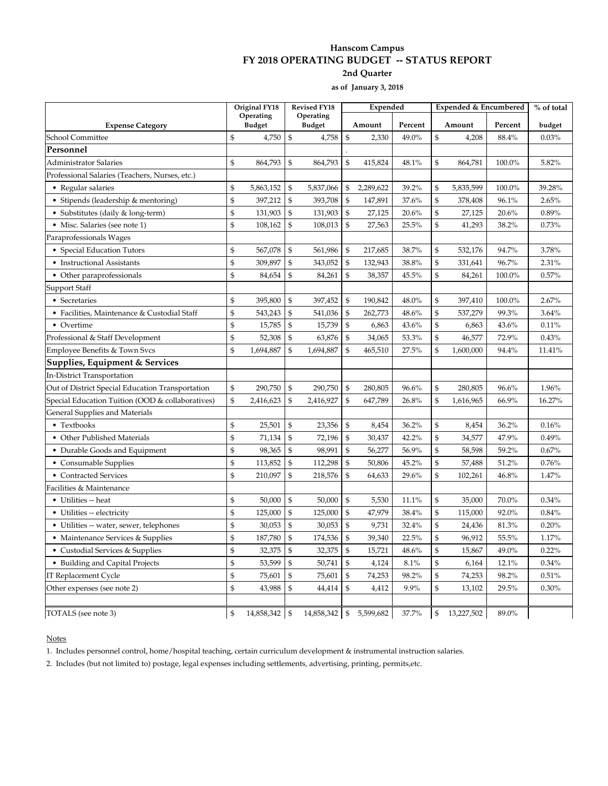#### **Hanscom Campus FY 2018 OPERATING BUDGET -- STATUS REPORT 2nd Quarter**

**as of January 3, 2018**

|                                                  | Original FY18  |                            | <b>Revised FY18</b>                             |                            | Expended       |           |         | Expended & Encumbered |            |         | % of total |
|--------------------------------------------------|----------------|----------------------------|-------------------------------------------------|----------------------------|----------------|-----------|---------|-----------------------|------------|---------|------------|
| <b>Expense Category</b>                          |                | Operating<br><b>Budget</b> |                                                 | Operating<br><b>Budget</b> |                | Amount    | Percent | Amount                |            | Percent | budget     |
| School Committee                                 | $\mathfrak{S}$ | 4,750                      | $\mathbb{S}$                                    | 4,758                      | $\mathfrak{S}$ | 2,330     | 49.0%   | \$                    | 4,208      | 88.4%   | 0.03%      |
| Personnel                                        |                |                            |                                                 |                            |                |           |         |                       |            |         |            |
| Administrator Salaries                           | \$             | 864,793                    | \$                                              | 864,793                    | $\mathfrak{S}$ | 415,824   | 48.1%   | \$                    | 864,781    | 100.0%  | 5.82%      |
| Professional Salaries (Teachers, Nurses, etc.)   |                |                            |                                                 |                            |                |           |         |                       |            |         |            |
| • Regular salaries                               | \$             | 5,863,152                  | \$                                              | 5,837,066                  | \$             | 2,289,622 | 39.2%   | \$                    | 5,835,599  | 100.0%  | 39.28%     |
| • Stipends (leadership & mentoring)              | \$             | 397,212                    | $\mathbb{S}$                                    | 393,708                    | $\mathcal{S}$  | 147,891   | 37.6%   | $\mathfrak{S}$        | 378,408    | 96.1%   | 2.65%      |
| • Substitutes (daily & long-term)                | \$             | 131,903                    | \$                                              | 131,903                    | $\mathfrak{s}$ | 27,125    | 20.6%   | $\mathfrak{S}$        | 27,125     | 20.6%   | 0.89%      |
| • Misc. Salaries (see note 1)                    | \$             | 108,162                    | \$                                              | 108,013                    | \$             | 27,563    | 25.5%   | \$                    | 41,293     | 38.2%   | 0.73%      |
| Paraprofessionals Wages                          |                |                            |                                                 |                            |                |           |         |                       |            |         |            |
| • Special Education Tutors                       | \$             | 567,078                    | \$                                              | 561,986                    | \$             | 217,685   | 38.7%   | \$                    | 532,176    | 94.7%   | 3.78%      |
| • Instructional Assistants                       | \$             | 309,897                    | $\, \, \raisebox{10pt}{\text{\circle*{1.5}}}\,$ | 343,052                    | $\mathfrak{s}$ | 132,943   | 38.8%   | \$                    | 331,641    | 96.7%   | 2.31%      |
| • Other paraprofessionals                        | $\mathfrak{S}$ | 84,654                     | \$                                              | 84,261                     | \$             | 38,357    | 45.5%   | $\mathbb{S}$          | 84,261     | 100.0%  | 0.57%      |
| Support Staff                                    |                |                            |                                                 |                            |                |           |         |                       |            |         |            |
| • Secretaries                                    | \$             | 395,800                    | \$                                              | 397,452                    | \$             | 190,842   | 48.0%   | \$                    | 397,410    | 100.0%  | 2.67%      |
| • Facilities, Maintenance & Custodial Staff      | \$             | 543,243                    | \$                                              | 541,036                    | $\mathfrak{s}$ | 262,773   | 48.6%   | \$                    | 537,279    | 99.3%   | 3.64%      |
| • Overtime                                       | \$             | 15,785                     | $\mathcal{S}$                                   | 15,739                     | $\mathfrak{S}$ | 6,863     | 43.6%   | \$                    | 6,863      | 43.6%   | 0.11%      |
| Professional & Staff Development                 | \$             | 52,308                     | $\mathcal{S}$                                   | 63,876                     | \$             | 34,065    | 53.3%   | \$                    | 46,577     | 72.9%   | 0.43%      |
| Employee Benefits & Town Svcs                    | \$             | 1,694,887                  | \$                                              | 1,694,887                  | \$             | 465,510   | 27.5%   | \$                    | 1,600,000  | 94.4%   | 11.41%     |
| Supplies, Equipment & Services                   |                |                            |                                                 |                            |                |           |         |                       |            |         |            |
| In-District Transportation                       |                |                            |                                                 |                            |                |           |         |                       |            |         |            |
| Out of District Special Education Transportation | \$             | 290,750                    | $\mathcal{S}$                                   | 290,750                    | $\mathcal{S}$  | 280,805   | 96.6%   | \$                    | 280,805    | 96.6%   | 1.96%      |
| Special Education Tuition (OOD & collaboratives) | \$             | 2,416,623                  | \$                                              | 2,416,927                  | \$             | 647,789   | 26.8%   | $\mathbb{S}$          | 1,616,965  | 66.9%   | 16.27%     |
| General Supplies and Materials                   |                |                            |                                                 |                            |                |           |         |                       |            |         |            |
| • Textbooks                                      | \$             | 25,501                     | $\mathcal{S}$                                   | 23,356                     | \$             | 8,454     | 36.2%   | \$                    | 8,454      | 36.2%   | 0.16%      |
| • Other Published Materials                      | \$             | 71,134                     | $\mathcal{S}$                                   | 72,196                     | \$             | 30,437    | 42.2%   | \$                    | 34,577     | 47.9%   | 0.49%      |
| • Durable Goods and Equipment                    | \$             | 98,365                     | $\mathfrak{s}$                                  | 98,991                     | $\mathfrak{S}$ | 56,277    | 56.9%   | $\mathfrak{S}$        | 58,598     | 59.2%   | 0.67%      |
| • Consumable Supplies                            | \$             | 113,852                    | $\mathfrak{s}$                                  | 112,298                    | \$             | 50,806    | 45.2%   | \$                    | 57,488     | 51.2%   | 0.76%      |
| • Contracted Services                            | \$             | 210,097                    | \$                                              | 218,576                    | \$             | 64,633    | 29.6%   | \$                    | 102,261    | 46.8%   | 1.47%      |
| Facilities & Maintenance                         |                |                            |                                                 |                            |                |           |         |                       |            |         |            |
| • Utilities -- heat                              | \$             | 50,000                     | \$                                              | 50,000                     | \$             | 5,530     | 11.1%   | \$                    | 35,000     | 70.0%   | 0.34%      |
| • Utilities -- electricity                       | \$             | 125,000                    | $\mathfrak{s}$                                  | 125,000                    | $\mathfrak{s}$ | 47,979    | 38.4%   | $\mathfrak{S}$        | 115,000    | 92.0%   | 0.84%      |
| • Utilities -- water, sewer, telephones          | \$             | 30,053                     | \$                                              | 30,053                     | $\mathfrak{s}$ | 9,731     | 32.4%   | $\mathfrak{S}$        | 24,436     | 81.3%   | 0.20%      |
| • Maintenance Services & Supplies                | \$             | 187,780                    | $\mathcal{S}$                                   | 174,536                    | \$             | 39,340    | 22.5%   | $\mathfrak{S}$        | 96,912     | 55.5%   | 1.17%      |
| • Custodial Services & Supplies                  | \$             | 32,375                     | $\mathcal{S}$                                   | 32,375                     | \$             | 15,721    | 48.6%   | \$                    | 15,867     | 49.0%   | 0.22%      |
| • Building and Capital Projects                  | \$             | 53,599                     | $\, \, \raisebox{10pt}{\text{\circle*{1.5}}}\,$ | 50,741                     | $\mathfrak{s}$ | 4,124     | 8.1%    | \$                    | 6,164      | 12.1%   | 0.34%      |
| IT Replacement Cycle                             | $\mathfrak{S}$ | 75,601                     | \$                                              | 75,601                     | $\mathfrak{S}$ | 74,253    | 98.2%   | \$                    | 74,253     | 98.2%   | 0.51%      |
| Other expenses (see note 2)                      | $\mathfrak{S}$ | 43,988                     | $\mathbb{S}$                                    | 44,414                     | $\mathfrak{S}$ | 4,412     | 9.9%    | \$                    | 13,102     | 29.5%   | 0.30%      |
| TOTALS (see note 3)                              | $\mathcal{S}$  | 14,858,342   \$            |                                                 | 14,858,342                 | $\mathfrak{S}$ | 5,599,682 | 37.7%   | \$                    | 13,227,502 | 89.0%   |            |

#### **Notes**

1. Includes personnel control, home/hospital teaching, certain curriculum development & instrumental instruction salaries.

2. Includes (but not limited to) postage, legal expenses including settlements, advertising, printing, permits,etc.